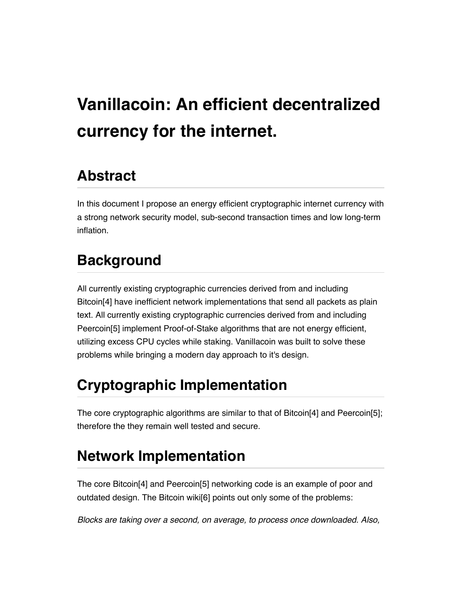# **Vanillacoin: An efficient decentralized currency for the internet.**

# **Abstract**

In this document I propose an energy efficient cryptographic internet currency with a strong network security model, sub-second transaction times and low long-term inflation.

# **Background**

All currently existing cryptographic currencies derived from and including Bitcoin[4] have inefficient network implementations that send all packets as plain text. All currently existing cryptographic currencies derived from and including Peercoin[5] implement Proof-of-Stake algorithms that are not energy efficient, utilizing excess CPU cycles while staking. Vanillacoin was built to solve these problems while bringing a modern day approach to it's design.

# **Cryptographic Implementation**

The core cryptographic algorithms are similar to that of Bitcoin[4] and Peercoin[5]; therefore the they remain well tested and secure.

# **Network Implementation**

The core Bitcoin[4] and Peercoin[5] networking code is an example of poor and outdated design. The Bitcoin wiki[6] points out only some of the problems:

*Blocks are taking over a second, on average, to process once downloaded. Also,*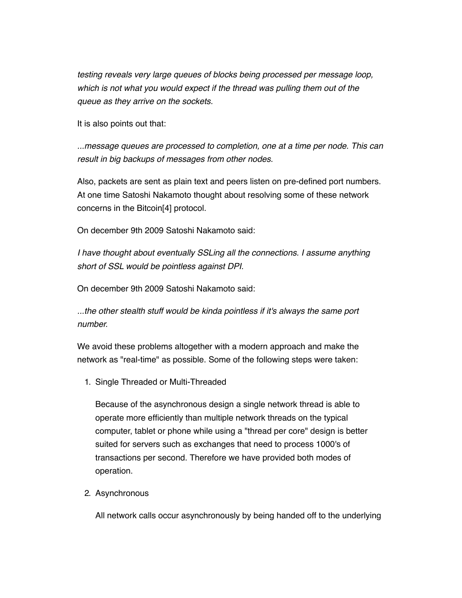*testing reveals very large queues of blocks being processed per message loop, which is not what you would expect if the thread was pulling them out of the queue as they arrive on the sockets.*

It is also points out that:

*...message queues are processed to completion, one at a time per node. This can result in big backups of messages from other nodes.*

Also, packets are sent as plain text and peers listen on pre-defined port numbers. At one time Satoshi Nakamoto thought about resolving some of these network concerns in the Bitcoin[4] protocol.

On december 9th 2009 Satoshi Nakamoto said:

*I have thought about eventually SSLing all the connections. I assume anything short of SSL would be pointless against DPI.*

On december 9th 2009 Satoshi Nakamoto said:

*...the other stealth stuff would be kinda pointless if it's always the same port number.*

We avoid these problems altogether with a modern approach and make the network as "real-time" as possible. Some of the following steps were taken:

1. Single Threaded or Multi-Threaded

Because of the asynchronous design a single network thread is able to operate more efficiently than multiple network threads on the typical computer, tablet or phone while using a "thread per core" design is better suited for servers such as exchanges that need to process 1000's of transactions per second. Therefore we have provided both modes of operation.

2. Asynchronous

All network calls occur asynchronously by being handed off to the underlying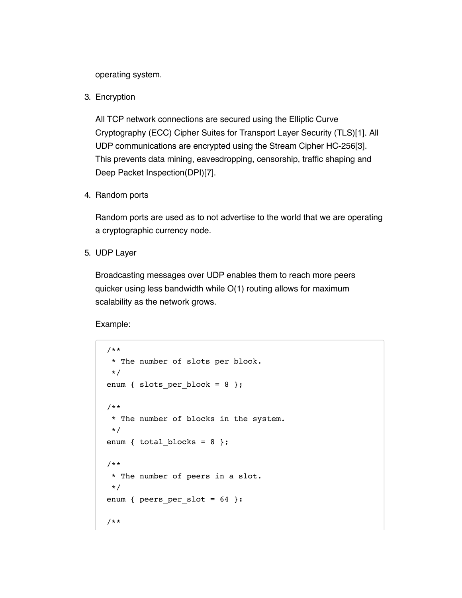operating system.

3. Encryption

All TCP network connections are secured using the Elliptic Curve Cryptography (ECC) Cipher Suites for Transport Layer Security (TLS)[1]. All UDP communications are encrypted using the Stream Cipher HC-256[3]. This prevents data mining, eavesdropping, censorship, traffic shaping and Deep Packet Inspection(DPI)[7].

4. Random ports

Random ports are used as to not advertise to the world that we are operating a cryptographic currency node.

5. UDP Layer

Broadcasting messages over UDP enables them to reach more peers quicker using less bandwidth while O(1) routing allows for maximum scalability as the network grows.

Example:

```
 /**
  * The number of slots per block.
  */
enum { slots per block = 8 };
 /**
  * The number of blocks in the system.
  */
enum { total_blocks = 8 };
 /**
  * The number of peers in a slot.
  */
enum { peers per slot = 64 }:
 /**
```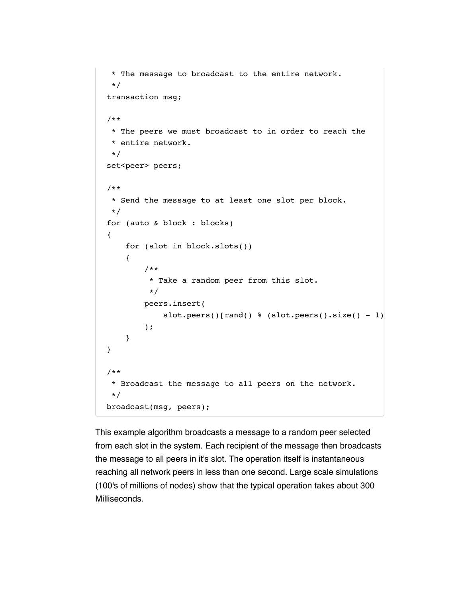```
 * The message to broadcast to the entire network.
  */
 transaction msg;
 /**
  * The peers we must broadcast to in order to reach the
  * entire network.
  */
set<peer> peers;
 /**
  * Send the message to at least one slot per block.
  */
 for (auto & block : blocks)
 {
     for (slot in block.slots())
     {
         /**
          * Take a random peer from this slot.
          */
         peers.insert(
             slot.peers()[rand() % (slot.peers().size() - 1)
         );
     }
 }
 /**
  * Broadcast the message to all peers on the network.
  */
 broadcast(msg, peers);
```
This example algorithm broadcasts a message to a random peer selected from each slot in the system. Each recipient of the message then broadcasts the message to all peers in it's slot. The operation itself is instantaneous reaching all network peers in less than one second. Large scale simulations (100's of millions of nodes) show that the typical operation takes about 300 Milliseconds.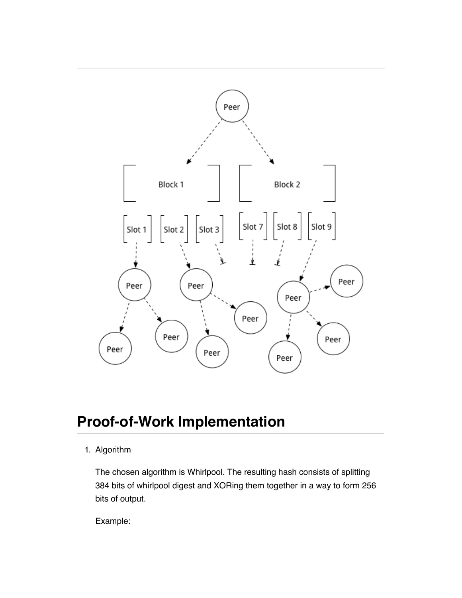

## **Proof-of-Work Implementation**

#### 1. Algorithm

The chosen algorithm is Whirlpool. The resulting hash consists of splitting 384 bits of whirlpool digest and XORing them together in a way to form 256 bits of output.

Example: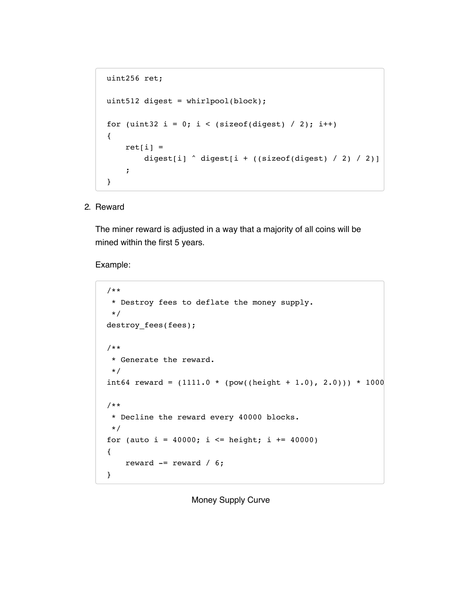```
 uint256 ret;
uint512 digest = whirlpool(block);
for (uint32 i = 0; i < (sizeof(digest) / 2); i++)
 {
    ret[i] =digest[i] \land digest[i + ((sizeof(digest) / 2) / 2)]
     ;
 }
```
2. Reward

The miner reward is adjusted in a way that a majority of all coins will be mined within the first 5 years.

Example:

```
 /**
 * Destroy fees to deflate the money supply.
  */
 destroy_fees(fees);
 /** 
 * Generate the reward.
  */
int64 reward = (1111.0 * (pow((height + 1.0), 2.0))) * 1000 /**
 * Decline the reward every 40000 blocks.
  */
for (auto i = 40000; i <= height; i += 40000)
 {
    reward - reward / 6;
 }
```
Money Supply Curve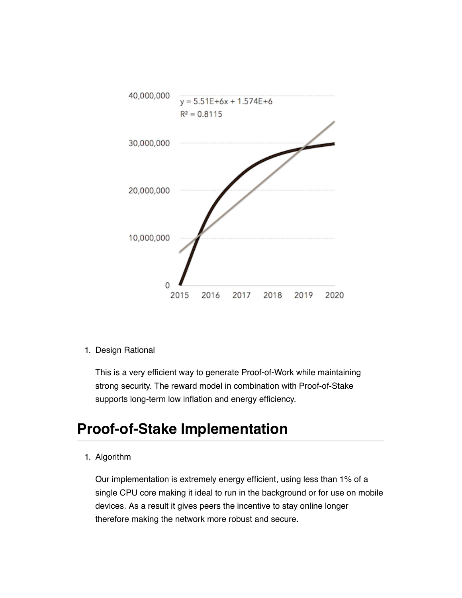

1. Design Rational

This is a very efficient way to generate Proof-of-Work while maintaining strong security. The reward model in combination with Proof-of-Stake supports long-term low inflation and energy efficiency.

### **Proof-of-Stake Implementation**

1. Algorithm

Our implementation is extremely energy efficient, using less than 1% of a single CPU core making it ideal to run in the background or for use on mobile devices. As a result it gives peers the incentive to stay online longer therefore making the network more robust and secure.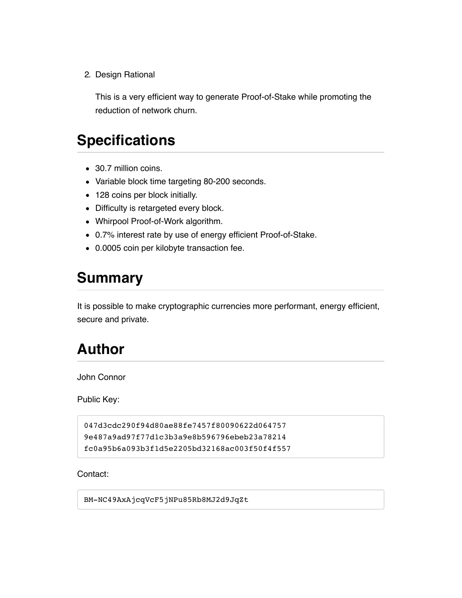2. Design Rational

This is a very efficient way to generate Proof-of-Stake while promoting the reduction of network churn.

### **Specifications**

- 30.7 million coins.
- Variable block time targeting 80-200 seconds.
- 128 coins per block initially.
- Difficulty is retargeted every block.
- Whirpool Proof-of-Work algorithm.
- 0.7% interest rate by use of energy efficient Proof-of-Stake.
- 0.0005 coin per kilobyte transaction fee.

### **Summary**

It is possible to make cryptographic currencies more performant, energy efficient, secure and private.

### **Author**

John Connor

Public Key:

```
047d3cdc290f94d80ae88fe7457f80090622d064757
9e487a9ad97f77d1c3b3a9e8b596796ebeb23a78214
fc0a95b6a093b3f1d5e2205bd32168ac003f50f4f557
```
Contact:

BM-NC49AxAjcqVcF5jNPu85Rb8MJ2d9JqZt